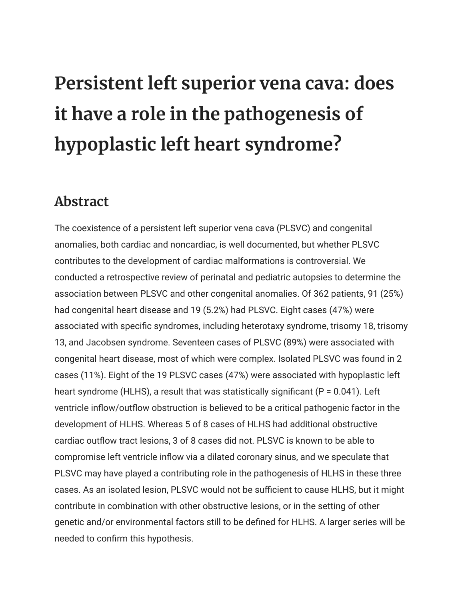## **Persistent left superior vena cava: does it have a role in the pathogenesis of hypoplastic left heart syndrome?**

## **Abstract**

The coexistence of a persistent left superior vena cava (PLSVC) and congenital anomalies, both cardiac and noncardiac, is well documented, but whether PLSVC contributes to the development of cardiac malformations is controversial. We conducted a retrospective review of perinatal and pediatric autopsies to determine the association between PLSVC and other congenital anomalies. Of 362 patients, 91 (25%) had congenital heart disease and 19 (5.2%) had PLSVC. Eight cases (47%) were associated with specific syndromes, including heterotaxy syndrome, trisomy 18, trisomy 13, and Jacobsen syndrome. Seventeen cases of PLSVC (89%) were associated with congenital heart disease, most of which were complex. Isolated PLSVC was found in 2 cases (11%). Eight of the 19 PLSVC cases (47%) were associated with hypoplastic left heart syndrome (HLHS), a result that was statistically significant ( $P = 0.041$ ). Left ventricle inflow/outflow obstruction is believed to be a critical pathogenic factor in the development of HLHS. Whereas 5 of 8 cases of HLHS had additional obstructive cardiac outflow tract lesions, 3 of 8 cases did not. PLSVC is known to be able to compromise left ventricle inflow via a dilated coronary sinus, and we speculate that PLSVC may have played a contributing role in the pathogenesis of HLHS in these three cases. As an isolated lesion, PLSVC would not be sufficient to cause HLHS, but it might contribute in combination with other obstructive lesions, or in the setting of other genetic and/or environmental factors still to be defined for HLHS. A larger series will be needed to confirm this hypothesis.